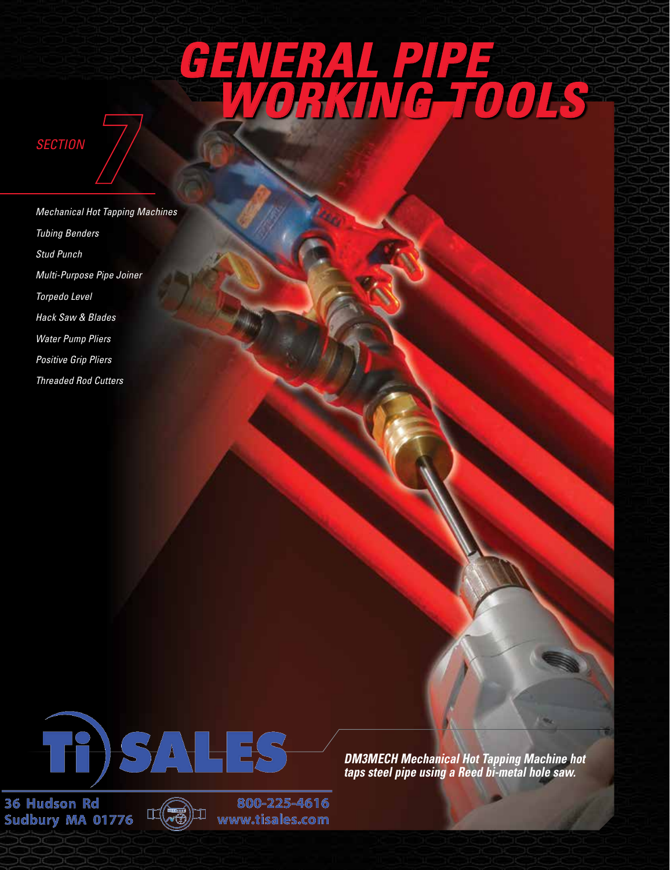# *[General pipe](https://www.reedmfgco.com/en/products/general-pipe-working-tools/)  [working tools](https://www.reedmfgco.com/en/products/general-pipe-working-tools/)*



*[Mechanical Hot Tapping Machines](https://www.reedmfgco.com/en/products/general-pipe-working-tools/mechanical-hot-tapping-machines/) [Tubing Benders](https://www.reedmfgco.com/en/products/general-pipe-working-tools/tubing-benders/) [Stud Punch](https://www.reedmfgco.com/en/products/general-pipe-working-tools/stud-punch/) [Multi-Purpose Pipe Joiner](https://www.reedmfgco.com/en/products/general-pipe-working-tools/multi-purpose-pipe-joiner/) [Torpedo Level](https://www.reedmfgco.com/en/products/general-pipe-working-tools/torpedo-level/) [Hack Saw & Blades](https://www.reedmfgco.com/en/products/general-pipe-working-tools/hack-saws/) [Water Pump Pliers](https://www.reedmfgco.com/en/products/general-pipe-working-tools/water-pump-pliers/) [Positive Grip Pliers](https://www.reedmfgco.com/en/products/general-pipe-working-tools/positive-grip-pliers/) [Threaded Rod Cutters](https://www.reedmfgco.com/en/products/general-pipe-working-tools/threaded-rod-cutters/)*



36 Hudson Rd Sudbury MA 01776



800-225-4616 www.tisales.com

*DM3MECH Mechanical Hot Tapping Machine hot taps steel pipe using a Reed bi-metal hole saw.*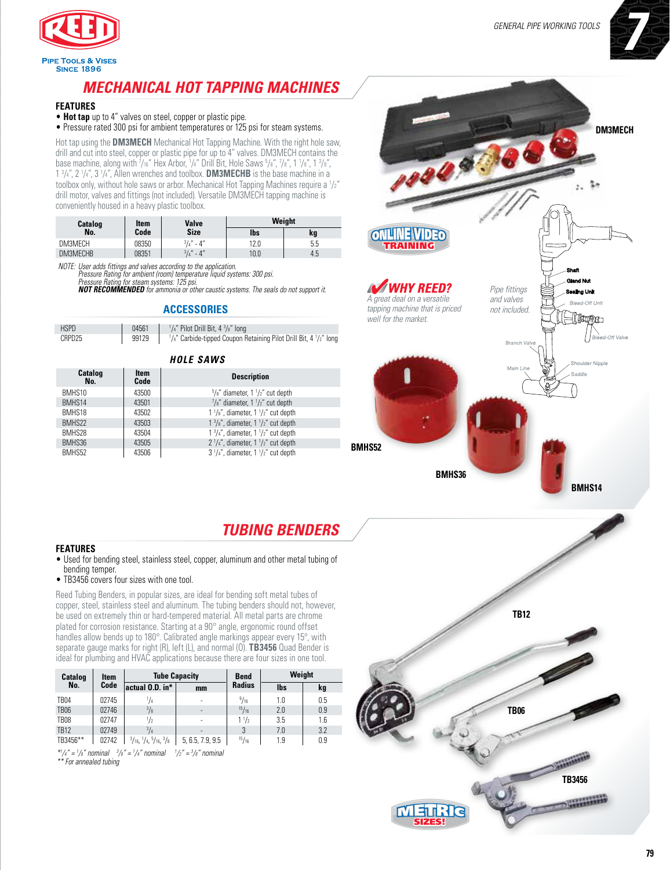

### *[Mechanical Hot Tapping](https://www.reedmfgco.com/en/products/general-pipe-working-tools/mechanical-hot-tapping-machines/) Machines*

### **FEATURES**

• **Hot tap** up to 4" valves on steel, copper or plastic pipe.

• Pressure rated 300 psi for ambient temperatures or 125 psi for steam systems.

Hot tap using the **DM3MECH** Mechanical Hot Tapping Machine. With the right hole saw, drill and cut into steel, copper or plastic pipe for up to 4" valves. DM3MECH contains the base machine, along with  $\frac{7}{16}$  Hex Arbor,  $\frac{1}{4}$  Drill Bit, Hole Saws  $\frac{5}{8}$ ,  $\frac{7}{8}$ ,  $\frac{7}{8}$ ,  $\frac{7}{8}$ ,  $\frac{1}{18}$ ,  $\frac{1}{8}$ ,  $\frac{3}{8}$ ,  $1\frac{3}{4}$ ,  $2\frac{1}{4}$ ,  $3\frac{1}{4}$ , Allen wrenches and toolbox. **DM3MECHB** is the base machine in a toolbox only, without hole saws or arbor. Mechanical Hot Tapping Machines require a 1 /2" drill motor, valves and fittings (not included). Versatile DM3MECH tapping machine is conveniently housed in a heavy plastic toolbox.

| Catalog  | Item  | Valve                  | Weight |     |  |
|----------|-------|------------------------|--------|-----|--|
| No.      | Code  | Size                   | lbs    | kg  |  |
| DM3MECH  | 08350 | $3/4$ " - 4"           | 12.0   | 5.5 |  |
| DM3MECHB | 08351 | $^{3}/_{4}$ "<br>$-4"$ | 10.0   | 4.5 |  |

*Note: User adds fittings and valves according to the application.*

*Pressure Rating for ambient (room) temperature liquid systems: 300 psi. Pressure Rating for steam systems: 125 psi.*

**NOT RECOMMENDED** for ammonia or other caustic systems. The seals do not support it.

### **ACCESSORIES**

| <b>HSPD</b> | 04561 | $\frac{1}{4}$ " Pilot Drill Bit, 4 $\frac{3}{8}$ " long                 |
|-------------|-------|-------------------------------------------------------------------------|
| CRPD25      | 99129 | $1/4$ " Carbide-tipped Coupon Retaining Pilot Drill Bit, 4 $1/2$ " long |

### *Hole Saws*

| Catalog<br>No. | Item<br>Code | <b>Description</b>                                       |
|----------------|--------------|----------------------------------------------------------|
| BMHS10         | 43500        | $5/s''$ diameter, 1 $1/z''$ cut depth                    |
| BMHS14         | 43501        | $\frac{7}{8}$ " diameter, 1 $\frac{1}{2}$ " cut depth    |
| BMHS18         | 43502        | $1\frac{1}{8}$ , diameter, $1\frac{1}{2}$ cut depth      |
| BMHS22         | 43503        | $1 \frac{3}{8}$ ", diameter, $1 \frac{1}{2}$ " cut depth |
| BMHS28         | 43504        | $1\frac{3}{4}$ ", diameter, $1\frac{1}{2}$ " cut depth   |
| BMHS36         | 43505        | $2\frac{1}{4}$ , diameter, $1\frac{1}{2}$ cut depth      |
| BMHS52         | 43506        | $3\frac{1}{4}$ , diameter, $1\frac{1}{2}$ cut depth      |



### *[Tubing Benders](https://www.reedmfgco.com/en/products/general-pipe-working-tools/tubing-benders/)*

#### **FEATURES**

- Used for bending steel, stainless steel, copper, aluminum and other metal tubing of bending temper.
- TB3456 covers four sizes with one tool.

Reed Tubing Benders, in popular sizes, are ideal for bending soft metal tubes of copper, steel, stainless steel and aluminum. The tubing benders should not, however, be used on extremely thin or hard-tempered material. All metal parts are chrome plated for corrosion resistance. Starting at a 90° angle, ergonomic round offset handles allow bends up to 180°. Calibrated angle markings appear every 15°, with separate gauge marks for right (R), left (L), and normal (O). **TB3456** Quad Bender is ideal for plumbing and HVAC applications because there are four sizes in one tool.

| Catalog     | Item  |                                                                 | <b>Tube Capacity</b> | <b>Bend</b>    | Weight |     |
|-------------|-------|-----------------------------------------------------------------|----------------------|----------------|--------|-----|
| No.         | Code  | $ $ actual 0.D. in* $ $                                         | mm                   | <b>Radius</b>  | lbs    | kg  |
| TB04        | 02745 | $^{1}/_{4}$                                                     |                      | 9/16           | 1.0    | 0.5 |
| <b>TB06</b> | 02746 | $^{3}/_{8}$                                                     | ٠                    | 15/16          | 2.0    | 0.9 |
| <b>TB08</b> | 02747 | $\frac{1}{2}$                                                   |                      | $1\frac{1}{2}$ | 3.5    | 1.6 |
| <b>TB12</b> | 02749 | $^{3}/_{4}$                                                     |                      | 3              | 7.0    | 3.2 |
| TB3456**    | 02742 | $\frac{3}{16}$ , $\frac{1}{4}$ , $\frac{5}{16}$ , $\frac{3}{8}$ | 5, 6.5, 7.9, 9.5     | 15/16          | 1.9    | 0.9 |

 $^{*1}/4"$  =  $^{1}/8"$  nominal  $^{3}/8"$  =  $^{1}/4"$  nominal  $^{1}/2"$  =  $^{3}/8"$  nominal *\*\* For annealed tubing*

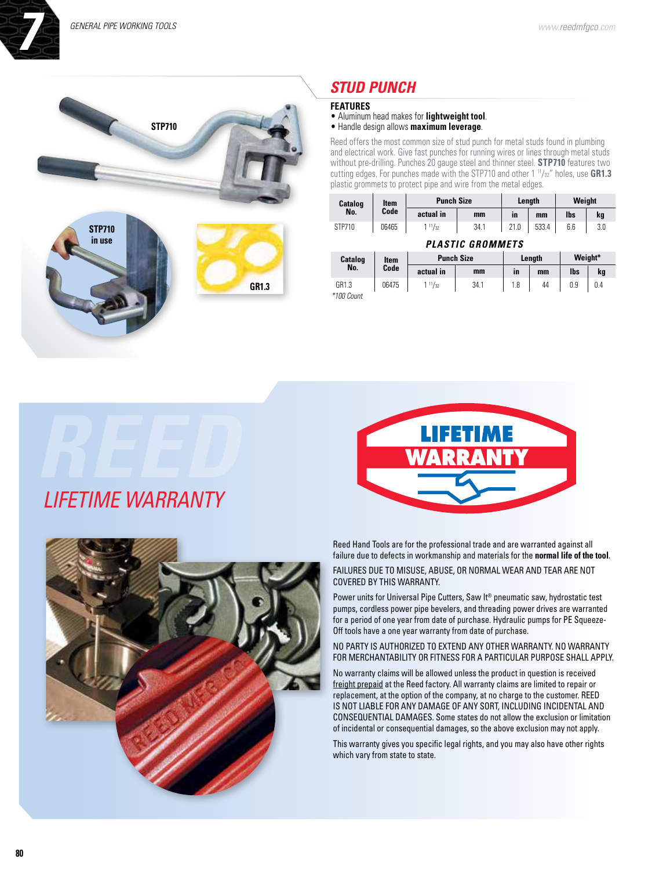

### *[Stud Punch](https://www.reedmfgco.com/en/products/general-pipe-working-tools/stud-punch/)*

### **FEATURES**

• Aluminum head makes for **lightweight tool**.

• Handle design allows **maximum leverage**.

Reed offers the most common size of stud punch for metal studs found in plumbing and electrical work. Give fast punches for running wires or lines through metal studs without pre-drilling. Punches 20 gauge steel and thinner steel. **STP710** features two cutting edges. For punches made with the STP710 and other 1<sup>11</sup>/<sub>32</sub>" holes, use **GR1.3** plastic grommets to protect pipe and wire from the metal edges.

| Catalog          | Item  | <b>Punch Size</b> |      | Length    |       | Weight |     |
|------------------|-------|-------------------|------|-----------|-------|--------|-----|
| No.              | Code  | actual in         | mm   | <b>in</b> | mm    | lbs    | kg  |
| STP710           | 06465 | $1^{11}/_{32}$    | 34.1 | 21.0      | 533.4 | 6.6    | 3.0 |
| PIASTIC CROMMETS |       |                   |      |           |       |        |     |

|            | , LATU , IV UIIVIIIIL I V |                   |      |        |    |            |     |  |  |
|------------|---------------------------|-------------------|------|--------|----|------------|-----|--|--|
| Catalog    | ltem                      | <b>Punch Size</b> |      | Lenath |    | Weight*    |     |  |  |
| No.        | Code                      | actual in         | mm   | in     | mm | <b>lbs</b> | kg  |  |  |
| GR1.3      | 06475                     | $1^{11}/_{32}$    | 34.1 | 1.8    | 44 | 0.9        | 0.4 |  |  |
| *100 Count |                           |                   |      |        |    |            |     |  |  |





Reed Hand Tools are for the professional trade and are warranted against all failure due to defects in workmanship and materials for the **normal life of the tool**.

FAILURES DUE TO MISUSE, ABUSE, OR NORMAL WEAR AND TEAR ARE NOT COVERED BY THIS WARRANTY.

 Power units for Universal Pipe Cutters, Saw It® pneumatic saw, hydrostatic test pumps, cordless power pipe bevelers, and threading power drives are warranted for a period of one year from date of purchase. Hydraulic pumps for PE Squeeze-Off tools have a one year warranty from date of purchase.

No party is authorized to extend any other warranty. No warranty for merchantability or fitness for a particular purpose shall apply.

No warranty claims will be allowed unless the product in question is received freight prepaid at the Reed factory. All warranty claims are limited to repair or replacement, at the option of the company, at no charge to the customer. REED is not liable for any damage of any sort, including incidental and consequential damages. Some states do not allow the exclusion or limitation of incidental or consequential damages, so the above exclusion may not apply.

This warranty gives you specific legal rights, and you may also have other rights which vary from state to state.

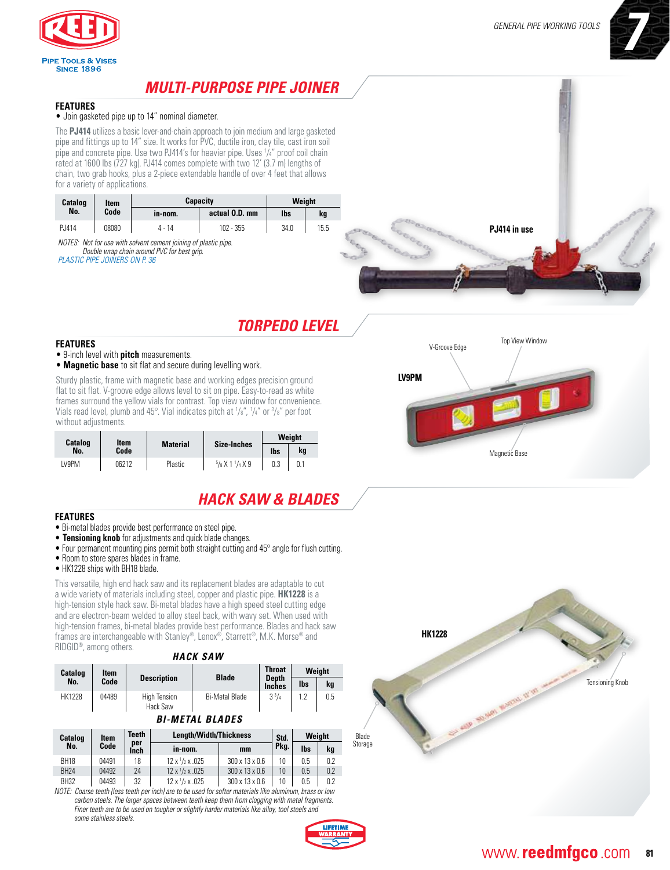

### *[Multi-Purpose Pipe Joiner](https://www.reedmfgco.com/en/products/general-pipe-working-tools/multi-purpose-pipe-joiner/)*

### **FEATURES**

#### • Join gasketed pipe up to 14" nominal diameter.

The **PJ414** utilizes a basic lever-and-chain approach to join medium and large gasketed pipe and fittings up to 14" size. It works for PVC, ductile iron, clay tile, cast iron soil pipe and concrete pipe. Use two PJ414's for heavier pipe. Uses 1 /4" proof coil chain rated at 1600 lbs (727 kg). PJ414 comes complete with two 12' (3.7 m) lengths of chain, two grab hooks, plus a 2-piece extendable handle of over 4 feet that allows for a variety of applications.

| Catalog<br>No. | Item  |         | <b>Capacity</b> | Weight |      |              |
|----------------|-------|---------|-----------------|--------|------|--------------|
|                | Code  | ın-nom. | actual 0.D. mm  | lbs    | kg   |              |
| PJ414          | 08080 | 4 - 14  | 102 - 355       | 34.0   | 15.5 | PJ414 in use |

*NoteS: Not for use with solvent cement joining of plastic pipe. Double wrap chain around PVC for best grip. plastic pipe joiners on p. 36*

# *[Torpedo Level](https://www.reedmfgco.com/en/products/general-pipe-working-tools/torpedo-level/)*

#### **FEATURES**

- 9-inch level with **pitch** measurements.
- **Magnetic base** to sit flat and secure during levelling work.

Sturdy plastic, frame with magnetic base and working edges precision ground flat to sit flat. V-groove edge allows level to sit on pipe. Easy-to-read as white frames surround the yellow vials for contrast. Top view window for convenience. Vials read level, plumb and 45°. Vial indicates pitch at 1 /8", 1 /4" or 3 /8" per foot without adjustments.

| Catalog | ltem  | <b>Material</b> |                     |            | Weight |
|---------|-------|-----------------|---------------------|------------|--------|
| No.     | Code  |                 | Size-Inches         | <b>lbs</b> | kg     |
| LV9PM   | 06212 | Plastic         | $5/8$ X 1 $1/4$ X 9 | 0.3        | 0.1    |

## *Hack [Saw & Blades](https://www.reedmfgco.com/en/products/general-pipe-working-tools/hack-saws/)*

### **FEATURES**

- Bi-metal blades provide best performance on steel pipe.
- **Tensioning knob** for adjustments and quick blade changes.
- Four permanent mounting pins permit both straight cutting and 45° angle for flush cutting.
- Room to store spares blades in frame.
- HK1228 ships with BH18 blade.

This versatile, high end hack saw and its replacement blades are adaptable to cut a wide variety of materials including steel, copper and plastic pipe. **HK1228** is a high-tension style hack saw. Bi-metal blades have a high speed steel cutting edge and are electron-beam welded to alloy steel back, with wavy set. When used with high-tension frames, bi-metal blades provide best performance. Blades and hack saw frames are interchangeable with Stanley®, Lenox®, Starrett®, M.K. Morse® and RIDGID®, among others.

|               |       |                                 | HACK SAW              |                               |     |        |
|---------------|-------|---------------------------------|-----------------------|-------------------------------|-----|--------|
| Catalog       | ltem  |                                 | <b>Blade</b>          | <b>Throat</b>                 |     | Weight |
| No.           | Code  | <b>Description</b>              |                       | <b>Depth</b><br><b>Inches</b> | lbs | kg     |
| <b>HK1228</b> | 04489 | <b>High Tension</b><br>Hack Saw | <b>Bi-Metal Blade</b> | $3^{3}/4$                     | 1.2 | 0.5    |

### *BI-METAL BLADES*

| <b>Catalog</b> | ltem  | <b>Teeth</b> | Length/Width/Thickness              |                            |      |            | Weight |
|----------------|-------|--------------|-------------------------------------|----------------------------|------|------------|--------|
| No.            | Code  | per<br>Inch  | in-nom.                             | mm                         | Pkg. | <b>lbs</b> | kg     |
| <b>BH18</b>    | 04491 | 18           | $12 \times \frac{1}{2} \times .025$ | $300 \times 13 \times 0.6$ | 10   | 0.5        | 0.2    |
| <b>BH24</b>    | 04492 | 24           | $12 \times \frac{1}{2} \times .025$ | $300 \times 13 \times 0.6$ | 10   | 0.5        | 0.2    |
| <b>BH32</b>    | 04493 | 32           | $12 \times \frac{1}{2} \times .025$ | $300 \times 13 \times 0.6$ | 10   | 0.5        | 0.2    |

*NOTE: Coarse teeth (less teeth per inch) are to be used for softer materials like aluminum, brass or low carbon steels. The larger spaces between teeth keep them from clogging with metal fragments. Finer teeth are to be used on tougher or slightly harder materials like alloy, tool steels and some stainless steels.*